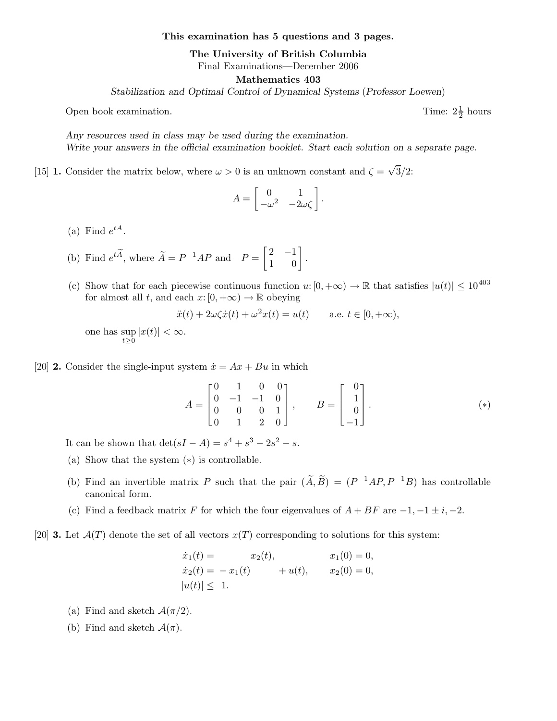This examination has 5 questions and 3 pages.

The University of British Columbia

Final Examinations—December 2006

Mathematics 403

Stabilization and Optimal Control of Dynamical Systems (Professor Loewen)

Open book examination.

Any resources used in class may be used during the examination. Write your answers in the official examination booklet. Start each solution on a separate page.

[15] **1.** Consider the matrix below, where  $\omega > 0$  is an unknown constant and  $\zeta = \sqrt{3}/2$ :

$$
A = \begin{bmatrix} 0 & 1 \\ -\omega^2 & -2\omega\zeta \end{bmatrix}.
$$

(a) Find  $e^{tA}$ .

- (b) Find  $e^{t\widetilde{A}}$ , where  $\widetilde{A} = P^{-1}AP$  and  $P = \begin{bmatrix} 2 & -1 \\ 1 & 0 \end{bmatrix}$ 1 0 1 .
- (c) Show that for each piecewise continuous function  $u: [0, +\infty) \to \mathbb{R}$  that satisfies  $|u(t)| \leq 10^{403}$ for almost all t, and each  $x: [0, +\infty) \to \mathbb{R}$  obeying

$$
\ddot{x}(t) + 2\omega\zeta\dot{x}(t) + \omega^2 x(t) = u(t) \quad \text{a.e. } t \in [0, +\infty),
$$

one has sup  $\sup_{t\geq 0} |x(t)| < \infty.$ 

## [20] **2.** Consider the single-input system  $\dot{x} = Ax + Bu$  in which

$$
A = \begin{bmatrix} 0 & 1 & 0 & 0 \\ 0 & -1 & -1 & 0 \\ 0 & 0 & 0 & 1 \\ 0 & 1 & 2 & 0 \end{bmatrix}, \qquad B = \begin{bmatrix} 0 \\ 1 \\ 0 \\ -1 \end{bmatrix}.
$$
 (\*)

1  $\frac{1}{2}$  hours

It can be shown that  $\det(sI - A) = s^4 + s^3 - 2s^2 - s$ .

- (a) Show that the system (∗) is controllable.
- (b) Find an invertible matrix P such that the pair  $(\tilde{A}, \tilde{B}) = (P^{-1}AP, P^{-1}B)$  has controllable canonical form.
- (c) Find a feedback matrix F for which the four eigenvalues of  $A + BF$  are  $-1, -1 \pm i, -2$ .
- [20] **3.** Let  $\mathcal{A}(T)$  denote the set of all vectors  $x(T)$  corresponding to solutions for this system:

$$
\dot{x}_1(t) = x_2(t), \qquad x_1(0) = 0, \n\dot{x}_2(t) = -x_1(t) + u(t), \qquad x_2(0) = 0, \n|u(t)| \leq 1.
$$

- (a) Find and sketch  $\mathcal{A}(\pi/2)$ .
- (b) Find and sketch  $\mathcal{A}(\pi)$ .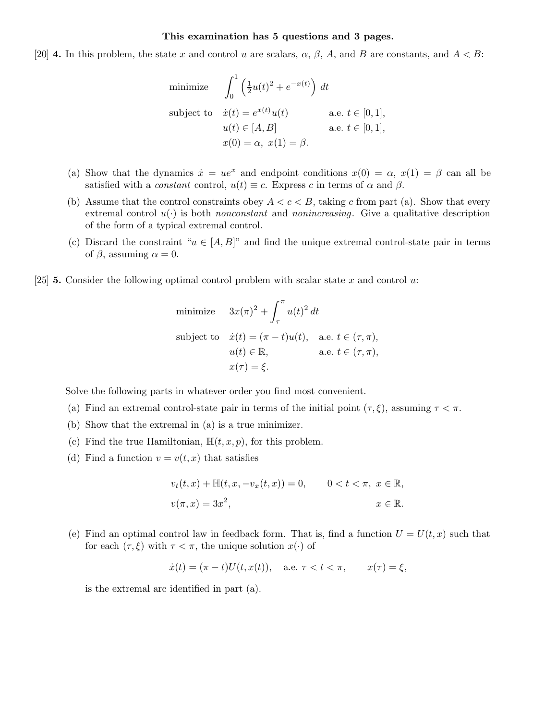## This examination has 5 questions and 3 pages.

[20] **4.** In this problem, the state x and control u are scalars,  $\alpha$ ,  $\beta$ ,  $A$ , and  $B$  are constants, and  $A < B$ :

minimize 
$$
\int_0^1 \left(\frac{1}{2}u(t)^2 + e^{-x(t)}\right) dt
$$
  
subject to  $\dot{x}(t) = e^{x(t)}u(t)$  a.e.  $t \in [0, 1]$ ,  
 $u(t) \in [A, B]$  a.e.  $t \in [0, 1]$ ,  
 $x(0) = \alpha, x(1) = \beta$ .

- (a) Show that the dynamics  $\dot{x} = ue^x$  and endpoint conditions  $x(0) = \alpha$ ,  $x(1) = \beta$  can all be satisfied with a *constant* control,  $u(t) \equiv c$ . Express c in terms of  $\alpha$  and  $\beta$ .
- (b) Assume that the control constraints obey  $A < c < B$ , taking c from part (a). Show that every extremal control  $u(\cdot)$  is both nonconstant and nonincreasing. Give a qualitative description of the form of a typical extremal control.
- (c) Discard the constraint " $u \in [A, B]$ " and find the unique extremal control-state pair in terms of  $\beta$ , assuming  $\alpha = 0$ .
- [25] **5.** Consider the following optimal control problem with scalar state x and control u:

minimize 
$$
3x(\pi)^2 + \int_{\tau}^{\pi} u(t)^2 dt
$$
  
\nsubject to  $\dot{x}(t) = (\pi - t)u(t)$ , a.e.  $t \in (\tau, \pi)$ ,  
\n $u(t) \in \mathbb{R}$ , a.e.  $t \in (\tau, \pi)$ ,  
\n $x(\tau) = \xi$ .

Solve the following parts in whatever order you find most convenient.

- (a) Find an extremal control-state pair in terms of the initial point  $(\tau, \xi)$ , assuming  $\tau < \pi$ .
- (b) Show that the extremal in (a) is a true minimizer.
- (c) Find the true Hamiltonian,  $\mathbb{H}(t, x, p)$ , for this problem.
- (d) Find a function  $v = v(t, x)$  that satisfies

$$
v_t(t, x) + \mathbb{H}(t, x, -v_x(t, x)) = 0, \qquad 0 < t < \pi, \ x \in \mathbb{R},
$$
  

$$
v(\pi, x) = 3x^2, \qquad x \in \mathbb{R}.
$$

(e) Find an optimal control law in feedback form. That is, find a function  $U = U(t, x)$  such that for each  $(\tau, \xi)$  with  $\tau < \pi$ , the unique solution  $x(\cdot)$  of

$$
\dot{x}(t) = (\pi - t)U(t, x(t)),
$$
 a.e.  $\tau < t < \pi$ ,  $x(\tau) = \xi$ ,

is the extremal arc identified in part (a).